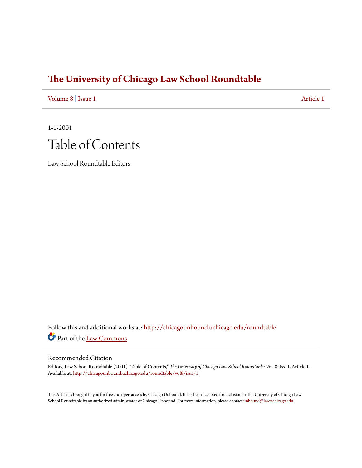## **[The University of Chicago Law School Roundtable](http://chicagounbound.uchicago.edu/roundtable?utm_source=chicagounbound.uchicago.edu%2Froundtable%2Fvol8%2Fiss1%2F1&utm_medium=PDF&utm_campaign=PDFCoverPages)**

[Volume 8](http://chicagounbound.uchicago.edu/roundtable/vol8?utm_source=chicagounbound.uchicago.edu%2Froundtable%2Fvol8%2Fiss1%2F1&utm_medium=PDF&utm_campaign=PDFCoverPages) | [Issue 1](http://chicagounbound.uchicago.edu/roundtable/vol8/iss1?utm_source=chicagounbound.uchicago.edu%2Froundtable%2Fvol8%2Fiss1%2F1&utm_medium=PDF&utm_campaign=PDFCoverPages) [Article 1](http://chicagounbound.uchicago.edu/roundtable/vol8/iss1/1?utm_source=chicagounbound.uchicago.edu%2Froundtable%2Fvol8%2Fiss1%2F1&utm_medium=PDF&utm_campaign=PDFCoverPages)

1-1-2001 Table of Contents

Law School Roundtable Editors

Follow this and additional works at: [http://chicagounbound.uchicago.edu/roundtable](http://chicagounbound.uchicago.edu/roundtable?utm_source=chicagounbound.uchicago.edu%2Froundtable%2Fvol8%2Fiss1%2F1&utm_medium=PDF&utm_campaign=PDFCoverPages) Part of the [Law Commons](http://network.bepress.com/hgg/discipline/578?utm_source=chicagounbound.uchicago.edu%2Froundtable%2Fvol8%2Fiss1%2F1&utm_medium=PDF&utm_campaign=PDFCoverPages)

## Recommended Citation

Editors, Law School Roundtable (2001) "Table of Contents," *The University of Chicago Law School Roundtable*: Vol. 8: Iss. 1, Article 1. Available at: [http://chicagounbound.uchicago.edu/roundtable/vol8/iss1/1](http://chicagounbound.uchicago.edu/roundtable/vol8/iss1/1?utm_source=chicagounbound.uchicago.edu%2Froundtable%2Fvol8%2Fiss1%2F1&utm_medium=PDF&utm_campaign=PDFCoverPages)

This Article is brought to you for free and open access by Chicago Unbound. It has been accepted for inclusion in The University of Chicago Law School Roundtable by an authorized administrator of Chicago Unbound. For more information, please contact [unbound@law.uchicago.edu](mailto:unbound@law.uchicago.edu).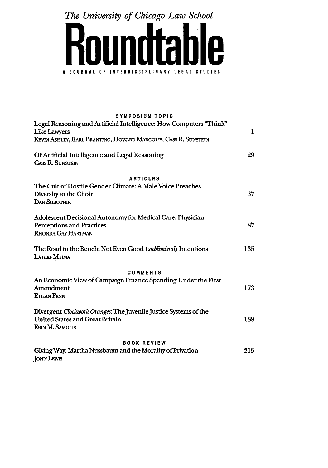*The University of Chicago Law School*



| <b>SYMPOSIUM TOPIC</b>                                                                |              |
|---------------------------------------------------------------------------------------|--------------|
| Legal Reasoning and Artificial Intelligence: How Computers "Think"                    |              |
| Like Lawyers                                                                          | $\mathbf{1}$ |
| KEVIN ASHLEY, KARL BRANTING, HOWARD MARGOLIS, CASS R. SUNSTEIN                        |              |
| Of Artificial Intelligence and Legal Reasoning<br><b>CASS R. SUNSTEIN</b>             | 29           |
| <b>ARTICLES</b>                                                                       |              |
| The Cult of Hostile Gender Climate: A Male Voice Preaches                             |              |
| Diversity to the Choir<br><b>DAN SUBOTNIK</b>                                         | 37           |
| Adolescent Decisional Autonomy for Medical Care: Physician                            |              |
| <b>Perceptions and Practices</b>                                                      | 87           |
| <b>RHONDA GAY HARTMAN</b>                                                             |              |
| The Road to the Bench: Not Even Good ( <i>subliminal</i> ) Intentions<br>LATEEF MTIMA | 135          |
| <b>COMMENTS</b>                                                                       |              |
| An Economic View of Campaign Finance Spending Under the First                         |              |
| Amendment                                                                             | 173          |
| <b>ETHAN FENN</b>                                                                     |              |
| Divergent Clockwork Oranges: The Juvenile Justice Systems of the                      |              |
| <b>United States and Great Britain</b>                                                | 189          |
| ERIN M. SAMOLIS                                                                       |              |
| <b>BOOK REVIEW</b>                                                                    |              |
| Giving Way: Martha Nussbaum and the Morality of Privation                             | 215          |
| <b>JOHN LEWIS</b>                                                                     |              |